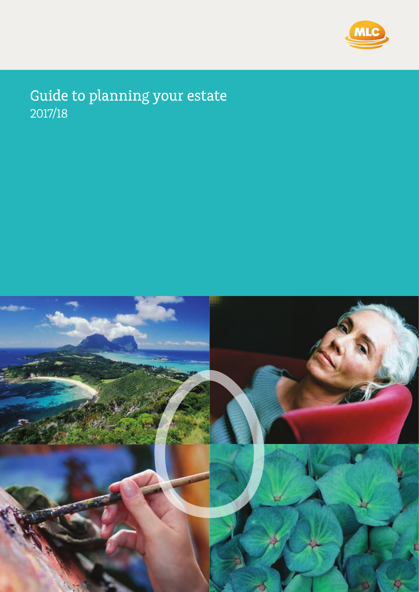

# Guide to planning your estate 2017/18

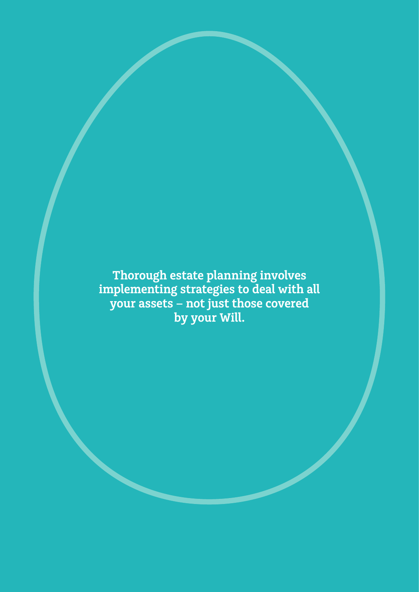**Thorough estate planning involves implementing strategies to deal with all your assets – not just those covered by your Will.**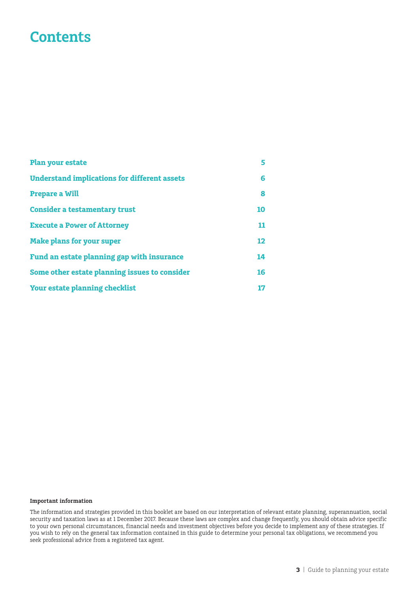# **Contents**

| <b>Plan your estate</b>                             | 5  |
|-----------------------------------------------------|----|
| <b>Understand implications for different assets</b> | 6  |
| <b>Prepare a Will</b>                               | 8  |
| <b>Consider a testamentary trust</b>                | 10 |
| <b>Execute a Power of Attorney</b>                  | 11 |
| <b>Make plans for your super</b>                    | 12 |
| Fund an estate planning gap with insurance          | 14 |
| Some other estate planning issues to consider       | 16 |
| <b>Your estate planning checklist</b>               | 17 |

#### **Important information**

The information and strategies provided in this booklet are based on our interpretation of relevant estate planning, superannuation, social security and taxation laws as at 1 December 2017. Because these laws are complex and change frequently, you should obtain advice specific to your own personal circumstances, financial needs and investment objectives before you decide to implement any of these strategies. If you wish to rely on the general tax information contained in this guide to determine your personal tax obligations, we recommend you seek professional advice from a registered tax agent.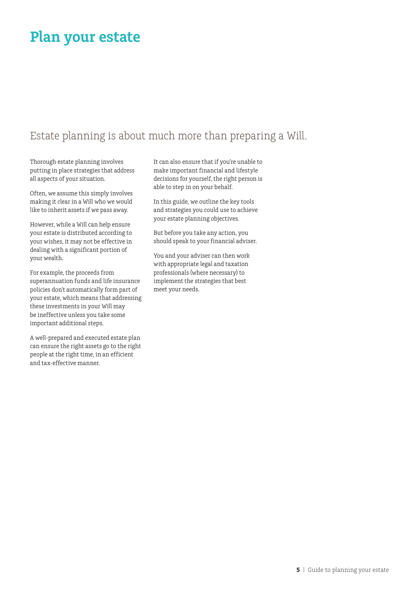# **Plan your estate**

# Estate planning is about much more than preparing a Will.

Thorough estate planning involves putting in place strategies that address all aspects of your situation.

Often, we assume this simply involves making it clear in a Will who we would like to inherit assets if we pass away.

However, while a Will can help ensure your estate is distributed according to your wishes, it may not be effective in dealing with a significant portion of your wealth.

For example, the proceeds from superannuation funds and life insurance policies don't automatically form part of your estate, which means that addressing these investments in your Will may be ineffective unless you take some important additional steps.

A well-prepared and executed estate plan can ensure the right assets go to the right people at the right time, in an efficient and tax-effective manner.

It can also ensure that if you're unable to make important financial and lifestyle decisions for yourself, the right person is able to step in on your behalf.

In this guide, we outline the key tools and strategies you could use to achieve your estate planning objectives.

But before you take any action, you should speak to your financial adviser.

You and your adviser can then work with appropriate legal and taxation professionals (where necessary) to implement the strategies that best meet your needs.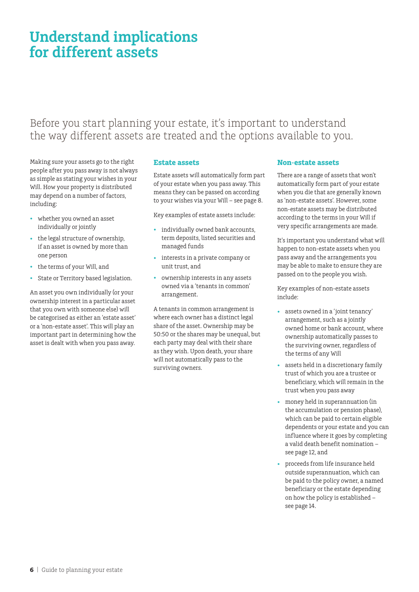# **Understand implications for different assets**

# Before you start planning your estate, it's important to understand the way different assets are treated and the options available to you.

Making sure your assets go to the right people after you pass away is not always as simple as stating your wishes in your Will. How your property is distributed may depend on a number of factors, including:

- whether you owned an asset individually or jointly
- the legal structure of ownership, if an asset is owned by more than one person
- the terms of your Will, and
- State or Territory based legislation.

An asset you own individually (or your ownership interest in a particular asset that you own with someone else) will be categorised as either an 'estate asset' or a 'non-estate asset'. This will play an important part in determining how the asset is dealt with when you pass away.

### **Estate assets**

Estate assets will automatically form part of your estate when you pass away. This means they can be passed on according to your wishes via your Will – see page 8.

Key examples of estate assets include:

- individually owned bank accounts, term deposits, listed securities and managed funds
- interests in a private company or unit trust, and
- ownership interests in any assets owned via a 'tenants in common' arrangement.

A tenants in common arrangement is where each owner has a distinct legal share of the asset. Ownership may be 50:50 or the shares may be unequal, but each party may deal with their share as they wish. Upon death, your share will not automatically pass to the surviving owners.

### **Non-estate assets**

There are a range of assets that won't automatically form part of your estate when you die that are generally known as 'non-estate assets'. However, some non-estate assets may be distributed according to the terms in your Will if very specific arrangements are made.

It's important you understand what will happen to non-estate assets when you pass away and the arrangements you may be able to make to ensure they are passed on to the people you wish.

Key examples of non-estate assets include:

- assets owned in a 'joint tenancy' arrangement, such as a jointly owned home or bank account, where ownership automatically passes to the surviving owner, regardless of the terms of any Will
- assets held in a discretionary family trust of which you are a trustee or beneficiary, which will remain in the trust when you pass away
- money held in superannuation (in the accumulation or pension phase), which can be paid to certain eligible dependents or your estate and you can influence where it goes by completing a valid death benefit nomination – see page 12, and
- proceeds from life insurance held outside superannuation, which can be paid to the policy owner, a named beneficiary or the estate depending on how the policy is established – see page 14.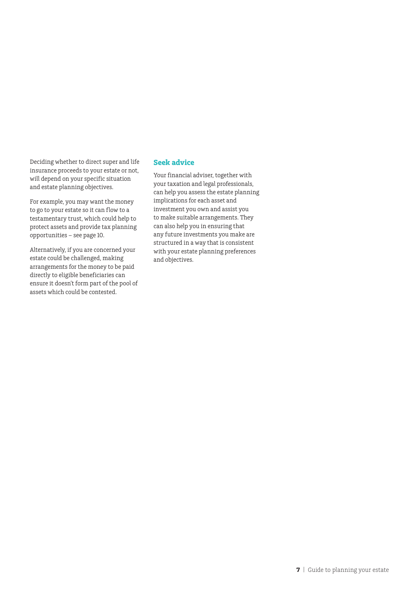Deciding whether to direct super and life insurance proceeds to your estate or not, will depend on your specific situation and estate planning objectives.

For example, you may want the money to go to your estate so it can flow to a testamentary trust, which could help to protect assets and provide tax planning opportunities – see page 10.

Alternatively, if you are concerned your estate could be challenged, making arrangements for the money to be paid directly to eligible beneficiaries can ensure it doesn't form part of the pool of assets which could be contested.

## **Seek advice**

Your financial adviser, together with your taxation and legal professionals, can help you assess the estate planning implications for each asset and investment you own and assist you to make suitable arrangements. They can also help you in ensuring that any future investments you make are structured in a way that is consistent with your estate planning preferences and objectives.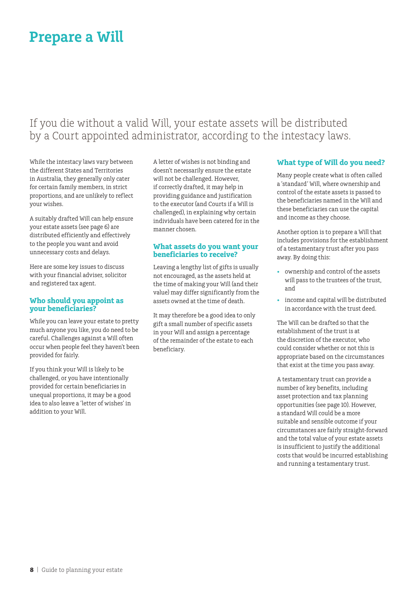# **Prepare a Will**

# If you die without a valid Will, your estate assets will be distributed by a Court appointed administrator, according to the intestacy laws.

While the intestacy laws vary between the different States and Territories in Australia, they generally only cater for certain family members, in strict proportions, and are unlikely to reflect your wishes.

A suitably drafted Will can help ensure your estate assets (see page 6) are distributed efficiently and effectively to the people you want and avoid unnecessary costs and delays.

Here are some key issues to discuss with your financial adviser, solicitor and registered tax agent.

#### **Who should you appoint as your beneficiaries?**

While you can leave your estate to pretty much anyone you like, you do need to be careful. Challenges against a Will often occur when people feel they haven't been provided for fairly.

If you think your Will is likely to be challenged, or you have intentionally provided for certain beneficiaries in unequal proportions, it may be a good idea to also leave a 'letter of wishes' in addition to your Will.

A letter of wishes is not binding and doesn't necessarily ensure the estate will not be challenged. However, if correctly drafted, it may help in providing guidance and justification to the executor (and Courts if a Will is challenged), in explaining why certain individuals have been catered for in the manner chosen.

### **What assets do you want your beneficiaries to receive?**

Leaving a lengthy list of gifts is usually not encouraged, as the assets held at the time of making your Will (and their value) may differ significantly from the assets owned at the time of death.

It may therefore be a good idea to only gift a small number of specific assets in your Will and assign a percentage of the remainder of the estate to each beneficiary.

# **What type of Will do you need?**

Many people create what is often called a 'standard' Will, where ownership and control of the estate assets is passed to the beneficiaries named in the Will and these beneficiaries can use the capital and income as they choose.

Another option is to prepare a Will that includes provisions for the establishment of a testamentary trust after you pass away. By doing this:

- ownership and control of the assets will pass to the trustees of the trust, and
- income and capital will be distributed in accordance with the trust deed.

The Will can be drafted so that the establishment of the trust is at the discretion of the executor, who could consider whether or not this is appropriate based on the circumstances that exist at the time you pass away.

A testamentary trust can provide a number of key benefits, including asset protection and tax planning opportunities (see page 10). However, a standard Will could be a more suitable and sensible outcome if your circumstances are fairly straight-forward and the total value of your estate assets is insufficient to justify the additional costs that would be incurred establishing and running a testamentary trust.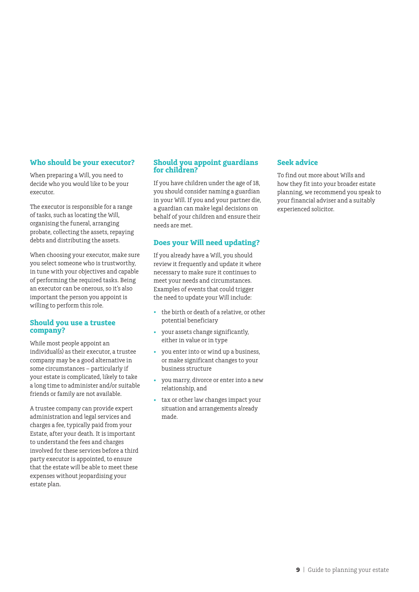### **Who should be your executor?**

When preparing a Will, you need to decide who you would like to be your executor.

The executor is responsible for a range of tasks, such as locating the Will, organising the funeral, arranging probate, collecting the assets, repaying debts and distributing the assets.

When choosing your executor, make sure you select someone who is trustworthy, in tune with your objectives and capable of performing the required tasks. Being an executor can be onerous, so it's also important the person you appoint is willing to perform this role.

#### **Should you use a trustee company?**

While most people appoint an individual(s) as their executor, a trustee company may be a good alternative in some circumstances – particularly if your estate is complicated, likely to take a long time to administer and/or suitable friends or family are not available.

A trustee company can provide expert administration and legal services and charges a fee, typically paid from your Estate, after your death. It is important to understand the fees and charges involved for these services before a third party executor is appointed, to ensure that the estate will be able to meet these expenses without jeopardising your estate plan.

### **Should you appoint guardians for children?**

If you have children under the age of 18, you should consider naming a guardian in your Will. If you and your partner die, a guardian can make legal decisions on behalf of your children and ensure their needs are met.

### **Does your Will need updating?**

If you already have a Will, you should review it frequently and update it where necessary to make sure it continues to meet your needs and circumstances. Examples of events that could trigger the need to update your Will include:

- the birth or death of a relative, or other potential beneficiary
- your assets change significantly, either in value or in type
- you enter into or wind up a business, or make significant changes to your business structure
- you marry, divorce or enter into a new relationship, and
- tax or other law changes impact your situation and arrangements already made.

### **Seek advice**

To find out more about Wills and how they fit into your broader estate planning, we recommend you speak to your financial adviser and a suitably experienced solicitor.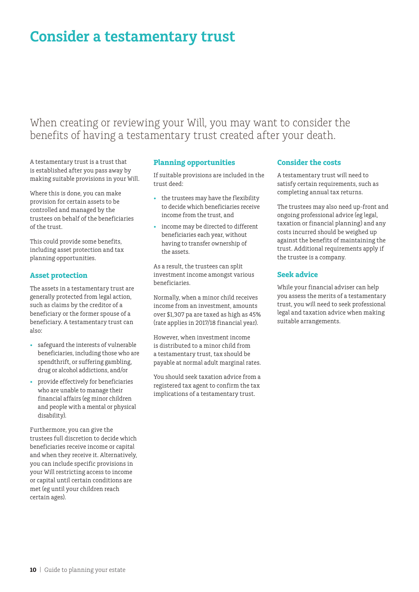# **Consider a testamentary trust**

# When creating or reviewing your Will, you may want to consider the benefits of having a testamentary trust created after your death.

A testamentary trust is a trust that is established after you pass away by making suitable provisions in your Will.

Where this is done, you can make provision for certain assets to be controlled and managed by the trustees on behalf of the beneficiaries of the trust.

This could provide some benefits, including asset protection and tax planning opportunities.

## **Asset protection**

The assets in a testamentary trust are generally protected from legal action, such as claims by the creditor of a beneficiary or the former spouse of a beneficiary. A testamentary trust can also:

- safeguard the interests of vulnerable beneficiaries, including those who are spendthrift, or suffering gambling, drug or alcohol addictions, and/or
- provide effectively for beneficiaries who are unable to manage their financial affairs (eg minor children and people with a mental or physical disability).

Furthermore, you can give the trustees full discretion to decide which beneficiaries receive income or capital and when they receive it. Alternatively, you can include specific provisions in your Will restricting access to income or capital until certain conditions are met (eg until your children reach certain ages).

## **Planning opportunities**

If suitable provisions are included in the trust deed:

- the trustees may have the flexibility to decide which beneficiaries receive income from the trust, and
- income may be directed to different beneficiaries each year, without having to transfer ownership of the assets.

As a result, the trustees can split investment income amongst various beneficiaries.

Normally, when a minor child receives income from an investment, amounts over \$1,307 pa are taxed as high as 45% (rate applies in 2017/18 financial year).

However, when investment income is distributed to a minor child from a testamentary trust, tax should be payable at normal adult marginal rates.

You should seek taxation advice from a registered tax agent to confirm the tax implications of a testamentary trust.

### **Consider the costs**

A testamentary trust will need to satisfy certain requirements, such as completing annual tax returns.

The trustees may also need up-front and ongoing professional advice (eg legal, taxation or financial planning) and any costs incurred should be weighed up against the benefits of maintaining the trust. Additional requirements apply if the trustee is a company.

### **Seek advice**

While your financial adviser can help you assess the merits of a testamentary trust, you will need to seek professional legal and taxation advice when making suitable arrangements.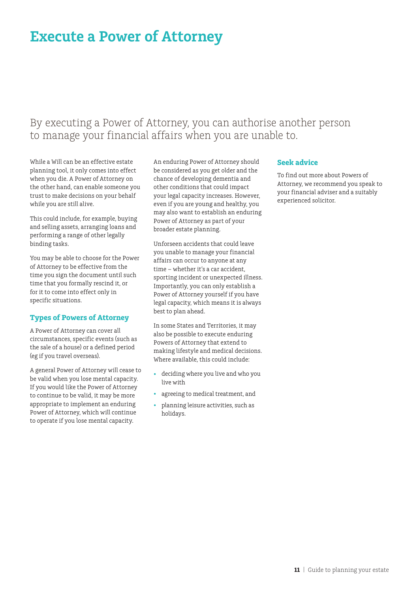# **Execute a Power of Attorney**

# By executing a Power of Attorney, you can authorise another person to manage your financial affairs when you are unable to.

While a Will can be an effective estate planning tool, it only comes into effect when you die. A Power of Attorney on the other hand, can enable someone you trust to make decisions on your behalf while you are still alive.

This could include, for example, buying and selling assets, arranging loans and performing a range of other legally binding tasks.

You may be able to choose for the Power of Attorney to be effective from the time you sign the document until such time that you formally rescind it, or for it to come into effect only in specific situations.

#### **Types of Powers of Attorney**

A Power of Attorney can cover all circumstances, specific events (such as the sale of a house) or a defined period (eg if you travel overseas).

A general Power of Attorney will cease to be valid when you lose mental capacity. If you would like the Power of Attorney to continue to be valid, it may be more appropriate to implement an enduring Power of Attorney, which will continue to operate if you lose mental capacity.

An enduring Power of Attorney should be considered as you get older and the chance of developing dementia and other conditions that could impact your legal capacity increases. However, even if you are young and healthy, you may also want to establish an enduring Power of Attorney as part of your broader estate planning.

Unforseen accidents that could leave you unable to manage your financial affairs can occur to anyone at any time – whether it's a car accident, sporting incident or unexpected illness. Importantly, you can only establish a Power of Attorney yourself if you have legal capacity, which means it is always best to plan ahead.

In some States and Territories, it may also be possible to execute enduring Powers of Attorney that extend to making lifestyle and medical decisions. Where available, this could include:

- deciding where you live and who you live with
- agreeing to medical treatment, and
- planning leisure activities, such as holidays.

#### **Seek advice**

To find out more about Powers of Attorney, we recommend you speak to your financial adviser and a suitably experienced solicitor.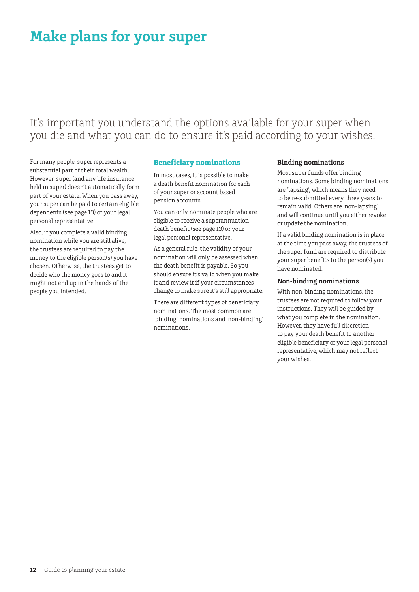# **Make plans for your super**

It's important you understand the options available for your super when you die and what you can do to ensure it's paid according to your wishes.

For many people, super represents a substantial part of their total wealth. However, super (and any life insurance held in super) doesn't automatically form part of your estate. When you pass away, your super can be paid to certain eligible dependents (see page 13) or your legal personal representative.

Also, if you complete a valid binding nomination while you are still alive, the trustees are required to pay the money to the eligible person(s) you have chosen. Otherwise, the trustees get to decide who the money goes to and it might not end up in the hands of the people you intended.

#### **Beneficiary nominations**

In most cases, it is possible to make a death benefit nomination for each of your super or account based pension accounts.

You can only nominate people who are eligible to receive a superannuation death benefit (see page 13) or your legal personal representative.

As a general rule, the validity of your nomination will only be assessed when the death benefit is payable. So you should ensure it's valid when you make it and review it if your circumstances change to make sure it's still appropriate.

There are different types of beneficiary nominations. The most common are 'binding' nominations and 'non-binding' nominations.

#### **Binding nominations**

Most super funds offer binding nominations. Some binding nominations are 'lapsing', which means they need to be re-submitted every three years to remain valid. Others are 'non-lapsing' and will continue until you either revoke or update the nomination.

If a valid binding nomination is in place at the time you pass away, the trustees of the super fund are required to distribute your super benefits to the person(s) you have nominated.

#### **Non-binding nominations**

With non-binding nominations, the trustees are not required to follow your instructions. They will be guided by what you complete in the nomination. However, they have full discretion to pay your death benefit to another eligible beneficiary or your legal personal representative, which may not reflect your wishes.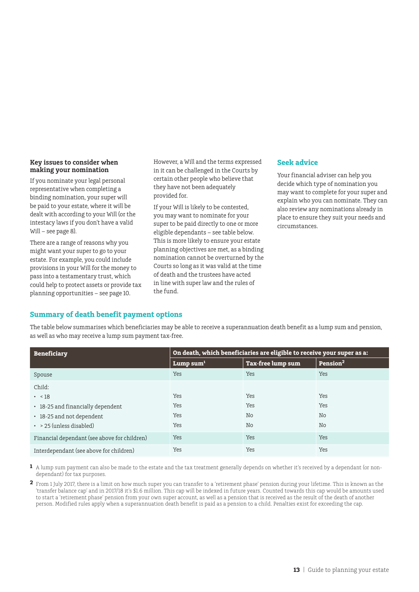#### **Key issues to consider when making your nomination**

If you nominate your legal personal representative when completing a binding nomination, your super will be paid to your estate, where it will be dealt with according to your Will (or the intestacy laws if you don't have a valid Will – see page 8).

There are a range of reasons why you might want your super to go to your estate. For example, you could include provisions in your Will for the money to pass into a testamentary trust, which could help to protect assets or provide tax planning opportunities – see page 10.

However, a Will and the terms expressed in it can be challenged in the Courts by certain other people who believe that they have not been adequately provided for.

If your Will is likely to be contested, you may want to nominate for your super to be paid directly to one or more eligible dependants – see table below. This is more likely to ensure your estate planning objectives are met, as a binding nomination cannot be overturned by the Courts so long as it was valid at the time of death and the trustees have acted in line with super law and the rules of the fund.

### **Seek advice**

Your financial adviser can help you decide which type of nomination you may want to complete for your super and explain who you can nominate. They can also review any nominations already in place to ensure they suit your needs and circumstances.

## **Summary of death benefit payment options**

The table below summarises which beneficiaries may be able to receive a superannuation death benefit as a lump sum and pension, as well as who may receive a lump sum payment tax-free.

| <b>Beneficiary</b>                           | On death, which beneficiaries are eligible to receive your super as a: |                          |                      |
|----------------------------------------------|------------------------------------------------------------------------|--------------------------|----------------------|
|                                              | Lump sum $1$                                                           | <b>Tax-free lump sum</b> | Pension <sup>2</sup> |
| Spouse                                       | Yes                                                                    | Yes                      | Yes                  |
| Child:                                       |                                                                        |                          |                      |
| $\cdot \ \ 18$                               | Yes                                                                    | Yes                      | Yes                  |
| • 18-25 and financially dependent            | Yes                                                                    | Yes                      | <b>Yes</b>           |
| • 18-25 and not dependent                    | Yes                                                                    | No                       | No                   |
| $\cdot$ > 25 (unless disabled)               | Yes                                                                    | No                       | No                   |
| Financial dependant (see above for children) | Yes                                                                    | <b>Yes</b>               | <b>Yes</b>           |
| Interdependant (see above for children)      | Yes                                                                    | Yes                      | Yes                  |

**1** A lump sum payment can also be made to the estate and the tax treatment generally depends on whether it's received by a dependant (or nondependant) for tax purposes.

**2** From 1 July 2017, there is a limit on how much super you can transfer to a 'retirement phase' pension during your lifetime. This is known as the 'transfer balance cap' and in 2017/18 it's \$1.6 million. This cap will be indexed in future years. Counted towards this cap would be amounts used to start a 'retirement phase' pension from your own super account, as well as a pension that is received as the result of the death of another person. Modified rules apply when a superannuation death benefit is paid as a pension to a child. Penalties exist for exceeding the cap.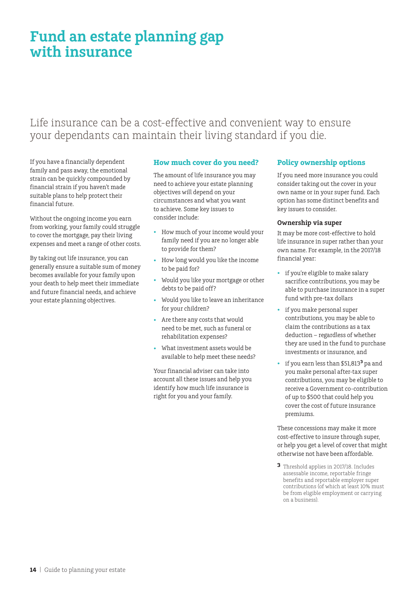# **Fund an estate planning gap with insurance**

# Life insurance can be a cost-effective and convenient way to ensure your dependants can maintain their living standard if you die.

If you have a financially dependent family and pass away, the emotional strain can be quickly compounded by financial strain if you haven't made suitable plans to help protect their financial future.

Without the ongoing income you earn from working, your family could struggle to cover the mortgage, pay their living expenses and meet a range of other costs.

By taking out life insurance, you can generally ensure a suitable sum of money becomes available for your family upon your death to help meet their immediate and future financial needs, and achieve your estate planning objectives.

## **How much cover do you need?**

The amount of life insurance you may need to achieve your estate planning objectives will depend on your circumstances and what you want to achieve. Some key issues to consider include:

- How much of your income would your family need if you are no longer able to provide for them?
- How long would you like the income to be paid for?
- Would you like your mortgage or other debts to be paid off?
- Would you like to leave an inheritance for your children?
- Are there any costs that would need to be met, such as funeral or rehabilitation expenses?
- What investment assets would be available to help meet these needs?

Your financial adviser can take into account all these issues and help you identify how much life insurance is right for you and your family.

## **Policy ownership options**

If you need more insurance you could consider taking out the cover in your own name or in your super fund. Each option has some distinct benefits and key issues to consider.

#### **Ownership via super**

It may be more cost-effective to hold life insurance in super rather than your own name. For example, in the 2017/18 financial year:

- if you're eligible to make salary sacrifice contributions, you may be able to purchase insurance in a super fund with pre-tax dollars
- if you make personal super contributions, you may be able to claim the contributions as a tax deduction – regardless of whether they are used in the fund to purchase investments or insurance, and
- if you earn less than \$51,813**3** pa and you make personal after-tax super contributions, you may be eligible to receive a Government co-contribution of up to \$500 that could help you cover the cost of future insurance premiums.

These concessions may make it more cost-effective to insure through super, or help you get a level of cover that might otherwise not have been affordable.

**3** Threshold applies in 2017/18. Includes assessable income, reportable fringe benefits and reportable employer super contributions (of which at least 10% must be from eligible employment or carrying on a business).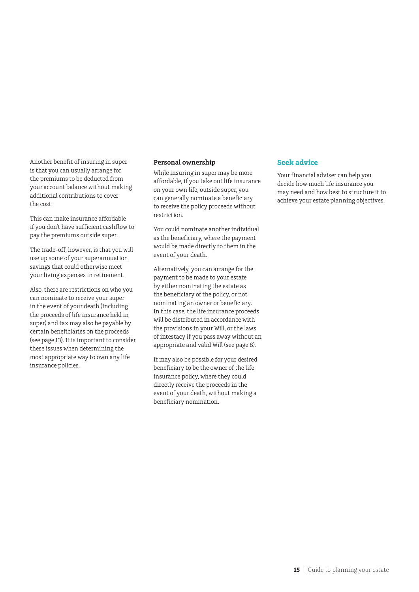Another benefit of insuring in super is that you can usually arrange for the premiums to be deducted from your account balance without making additional contributions to cover the cost.

This can make insurance affordable if you don't have sufficient cashflow to pay the premiums outside super.

The trade-off, however, is that you will use up some of your superannuation savings that could otherwise meet your living expenses in retirement.

Also, there are restrictions on who you can nominate to receive your super in the event of your death (including the proceeds of life insurance held in super) and tax may also be payable by certain beneficiaries on the proceeds (see page 13). It is important to consider these issues when determining the most appropriate way to own any life insurance policies.

#### **Personal ownership**

While insuring in super may be more affordable, if you take out life insurance on your own life, outside super, you can generally nominate a beneficiary to receive the policy proceeds without restriction.

You could nominate another individual as the beneficiary, where the payment would be made directly to them in the event of your death.

Alternatively, you can arrange for the payment to be made to your estate by either nominating the estate as the beneficiary of the policy, or not nominating an owner or beneficiary. In this case, the life insurance proceeds will be distributed in accordance with the provisions in your Will, or the laws of intestacy if you pass away without an appropriate and valid Will (see page 8).

It may also be possible for your desired beneficiary to be the owner of the life insurance policy, where they could directly receive the proceeds in the event of your death, without making a beneficiary nomination.

#### **Seek advice**

Your financial adviser can help you decide how much life insurance you may need and how best to structure it to achieve your estate planning objectives.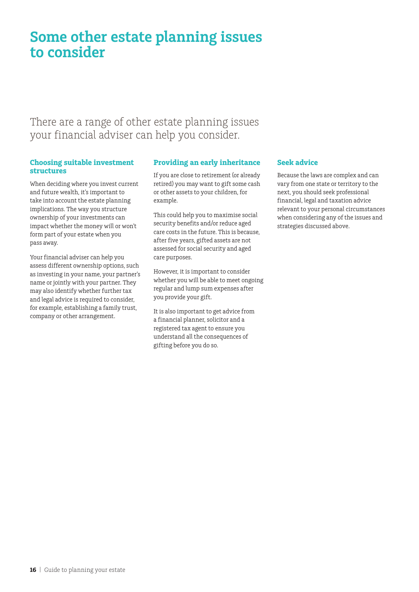# **Some other estate planning issues to consider**

There are a range of other estate planning issues your financial adviser can help you consider.

### **Choosing suitable investment structures**

When deciding where you invest current and future wealth, it's important to take into account the estate planning implications. The way you structure ownership of your investments can impact whether the money will or won't form part of your estate when you pass away.

Your financial adviser can help you assess different ownership options, such as investing in your name, your partner's name or jointly with your partner. They may also identify whether further tax and legal advice is required to consider, for example, establishing a family trust, company or other arrangement.

## **Providing an early inheritance**

If you are close to retirement (or already retired) you may want to gift some cash or other assets to your children, for example.

This could help you to maximise social security benefits and/or reduce aged care costs in the future. This is because, after five years, gifted assets are not assessed for social security and aged care purposes.

However, it is important to consider whether you will be able to meet ongoing regular and lump sum expenses after you provide your gift.

It is also important to get advice from a financial planner, solicitor and a registered tax agent to ensure you understand all the consequences of gifting before you do so.

## **Seek advice**

Because the laws are complex and can vary from one state or territory to the next, you should seek professional financial, legal and taxation advice relevant to your personal circumstances when considering any of the issues and strategies discussed above.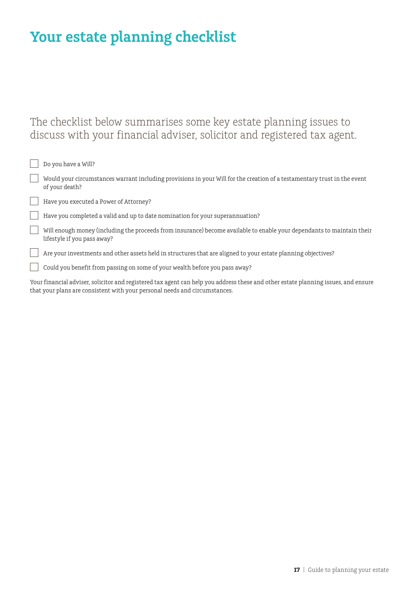# **Your estate planning checklist**

# The checklist below summarises some key estate planning issues to discuss with your financial adviser, solicitor and registered tax agent.

| Do you have a Will?                                                                                                                                   |
|-------------------------------------------------------------------------------------------------------------------------------------------------------|
| Would your circumstances warrant including provisions in your Will for the creation of a testamentary trust in the event<br>of your death?            |
| Have you executed a Power of Attorney?                                                                                                                |
| Have you completed a valid and up to date nomination for your superannuation?                                                                         |
| Will enough money (including the proceeds from insurance) become available to enable your dependants to maintain their<br>lifestyle if you pass away? |
| Are your investments and other assets held in structures that are aligned to your estate planning objectives?                                         |
| Could you benefit from passing on some of your wealth before you pass away?                                                                           |

Your financial adviser, solicitor and registered tax agent can help you address these and other estate planning issues, and ensure that your plans are consistent with your personal needs and circumstances.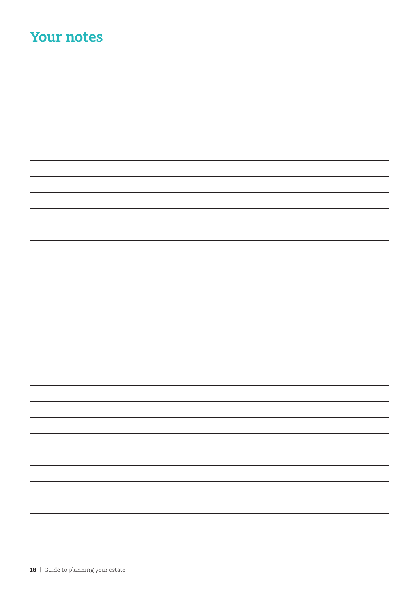# **Your notes**